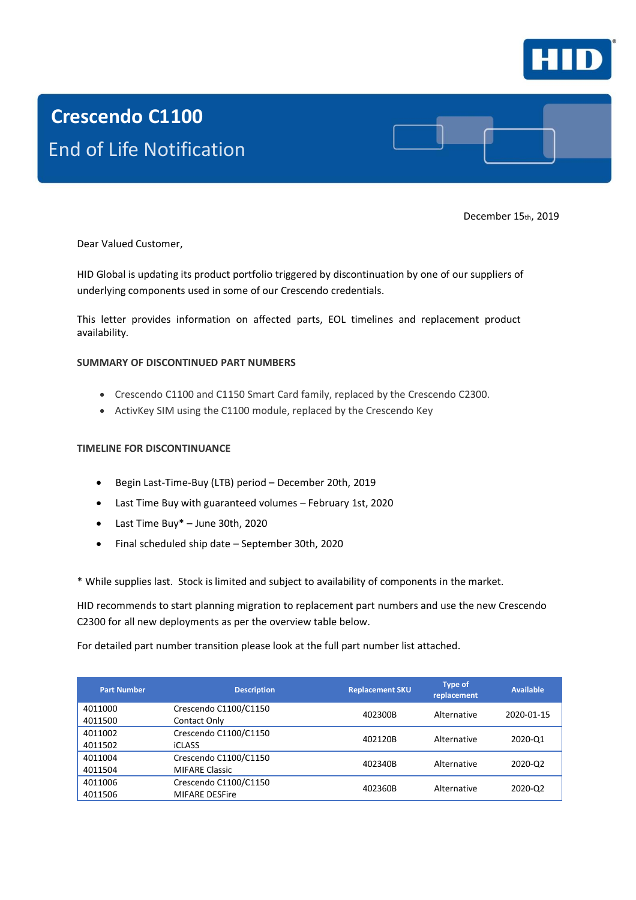

# **Crescendo C1100** End of Life Notification

December 15th, 2019

Dear Valued Customer,

HID Global is updating its product portfolio triggered by discontinuation by one of our suppliers of underlying components used in some of our Crescendo credentials.

This letter provides information on affected parts, EOL timelines and replacement product availability.

#### **SUMMARY OF DISCONTINUED PART NUMBERS**

- Crescendo C1100 and C1150 Smart Card family, replaced by the Crescendo C2300.
- ActivKey SIM using the C1100 module, replaced by the Crescendo Key

#### **TIMELINE FOR DISCONTINUANCE**

- Begin Last-Time-Buy (LTB) period December 20th, 2019
- Last Time Buy with guaranteed volumes February 1st, 2020
- Last Time Buy\* June 30th, 2020
- Final scheduled ship date September 30th, 2020

\* While supplies last. Stock is limited and subject to availability of components in the market.

HID recommends to start planning migration to replacement part numbers and use the new Crescendo C2300 for all new deployments as per the overview table below.

For detailed part number transition please look at the full part number list attached.

| <b>Part Number</b> | <b>Description</b>                             | <b>Replacement SKU</b> | <b>Type of</b><br>replacement | <b>Available</b> |
|--------------------|------------------------------------------------|------------------------|-------------------------------|------------------|
| 4011000<br>4011500 | Crescendo C1100/C1150<br>Contact Only          | 402300B                | Alternative                   | 2020-01-15       |
| 4011002<br>4011502 | Crescendo C1100/C1150<br><b>iCLASS</b>         | 402120B                | Alternative                   | 2020-Q1          |
| 4011004<br>4011504 | Crescendo C1100/C1150<br><b>MIFARE Classic</b> | 402340B                | Alternative                   | 2020-02          |
| 4011006<br>4011506 | Crescendo C1100/C1150<br><b>MIFARE DESFire</b> | 402360B                | Alternative                   | 2020-02          |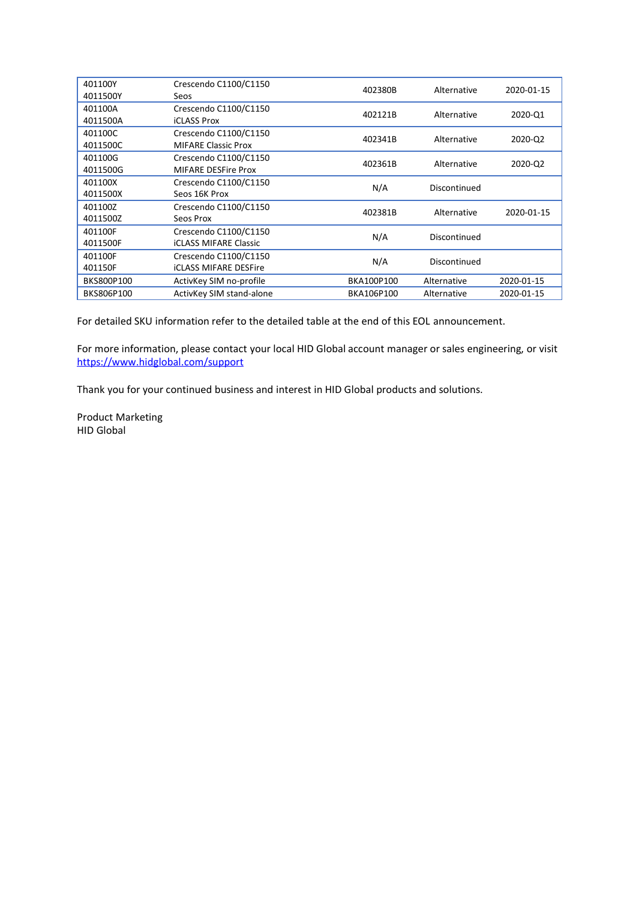| 401100Y<br>4011500Y | Crescendo C1100/C1150<br>Seos                         | 402380B    | Alternative  | 2020-01-15 |
|---------------------|-------------------------------------------------------|------------|--------------|------------|
| 401100A<br>4011500A | Crescendo C1100/C1150<br><b>iCLASS Prox</b>           | 402121B    | Alternative  | 2020-Q1    |
| 401100C<br>4011500C | Crescendo C1100/C1150<br><b>MIFARE Classic Prox</b>   | 402341B    | Alternative  | 2020-02    |
| 401100G<br>4011500G | Crescendo C1100/C1150<br><b>MIFARE DESFire Prox</b>   | 402361B    | Alternative  | 2020-Q2    |
| 401100X<br>4011500X | Crescendo C1100/C1150<br>Seos 16K Prox                | N/A        | Discontinued |            |
| 401100Z<br>4011500Z | Crescendo C1100/C1150<br>Seos Prox                    | 402381B    | Alternative  | 2020-01-15 |
| 401100F<br>4011500F | Crescendo C1100/C1150<br><b>iCLASS MIFARE Classic</b> | N/A        | Discontinued |            |
| 401100F<br>401150F  | Crescendo C1100/C1150<br><b>iCLASS MIFARE DESFire</b> | N/A        | Discontinued |            |
| BKS800P100          | ActivKey SIM no-profile                               | BKA100P100 | Alternative  | 2020-01-15 |
| BKS806P100          | ActivKey SIM stand-alone                              | BKA106P100 | Alternative  | 2020-01-15 |

For detailed SKU information refer to the detailed table at the end of this EOL announcement.

For more information, please contact your local HID Global account manager or sales engineering, or visit <https://www.hidglobal.com/support>

Thank you for your continued business and interest in HID Global products and solutions.

Product Marketing HID Global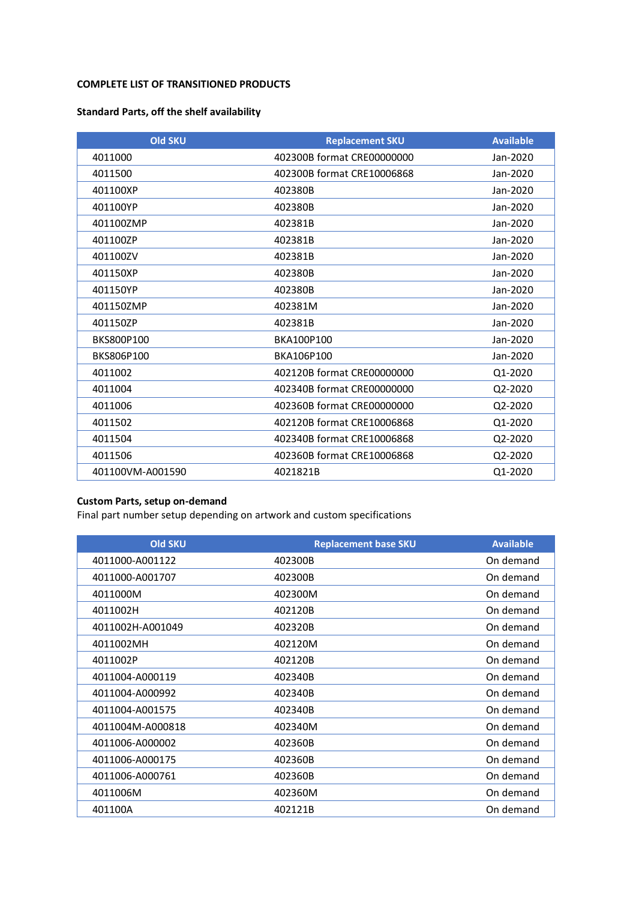#### **COMPLETE LIST OF TRANSITIONED PRODUCTS**

## **Standard Parts, off the shelf availability**

| <b>Old SKU</b>   | <b>Replacement SKU</b>     | <b>Available</b> |
|------------------|----------------------------|------------------|
| 4011000          | 402300B format CRE00000000 | Jan-2020         |
| 4011500          | 402300B format CRE10006868 | Jan-2020         |
| 401100XP         | 402380B                    | Jan-2020         |
| 401100YP         | 402380B                    | Jan-2020         |
| 401100ZMP        | 402381B                    | Jan-2020         |
| 401100ZP         | 402381B                    | Jan-2020         |
| 401100ZV         | 402381B                    | Jan-2020         |
| 401150XP         | 402380B                    | Jan-2020         |
| 401150YP         | 402380B                    | Jan-2020         |
| 401150ZMP        | 402381M                    | Jan-2020         |
| 401150ZP         | 402381B                    | Jan-2020         |
| BKS800P100       | BKA100P100                 | Jan-2020         |
| BKS806P100       | BKA106P100                 | Jan-2020         |
| 4011002          | 402120B format CRE00000000 | Q1-2020          |
| 4011004          | 402340B format CRE00000000 | Q2-2020          |
| 4011006          | 402360B format CRE00000000 | Q2-2020          |
| 4011502          | 402120B format CRE10006868 | Q1-2020          |
| 4011504          | 402340B format CRE10006868 | Q2-2020          |
| 4011506          | 402360B format CRE10006868 | Q2-2020          |
| 401100VM-A001590 | 4021821B                   | Q1-2020          |

## **Custom Parts, setup on-demand**

Final part number setup depending on artwork and custom specifications

| <b>Old SKU</b>   | <b>Replacement base SKU</b> | <b>Available</b> |
|------------------|-----------------------------|------------------|
| 4011000-A001122  | 402300B                     | On demand        |
| 4011000-A001707  | 402300B                     | On demand        |
| 4011000M         | 402300M                     | On demand        |
| 4011002H         | 402120B                     | On demand        |
| 4011002H-A001049 | 402320B                     | On demand        |
| 4011002MH        | 402120M                     | On demand        |
| 4011002P         | 402120B                     | On demand        |
| 4011004-A000119  | 402340B                     | On demand        |
| 4011004-A000992  | 402340B                     | On demand        |
| 4011004-A001575  | 402340B                     | On demand        |
| 4011004M-A000818 | 402340M                     | On demand        |
| 4011006-A000002  | 402360B                     | On demand        |
| 4011006-A000175  | 402360B                     | On demand        |
| 4011006-A000761  | 402360B                     | On demand        |
| 4011006M         | 402360M                     | On demand        |
| 401100A          | 402121B                     | On demand        |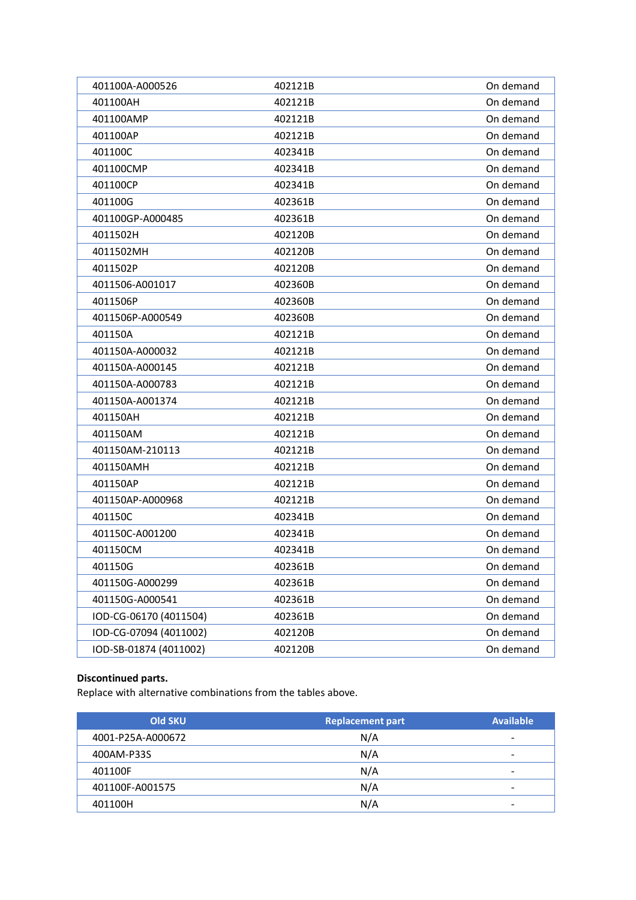| 401100A-A000526        | 402121B | On demand |
|------------------------|---------|-----------|
| 401100AH               | 402121B | On demand |
| 401100AMP              | 402121B | On demand |
| 401100AP               | 402121B | On demand |
| 401100C                | 402341B | On demand |
| 401100CMP              | 402341B | On demand |
| 401100CP               | 402341B | On demand |
| 401100G                | 402361B | On demand |
| 401100GP-A000485       | 402361B | On demand |
| 4011502H               | 402120B | On demand |
| 4011502MH              | 402120B | On demand |
| 4011502P               | 402120B | On demand |
| 4011506-A001017        | 402360B | On demand |
| 4011506P               | 402360B | On demand |
| 4011506P-A000549       | 402360B | On demand |
| 401150A                | 402121B | On demand |
| 401150A-A000032        | 402121B | On demand |
| 401150A-A000145        | 402121B | On demand |
| 401150A-A000783        | 402121B | On demand |
| 401150A-A001374        | 402121B | On demand |
| 401150AH               | 402121B | On demand |
| 401150AM               | 402121B | On demand |
| 401150AM-210113        | 402121B | On demand |
| 401150AMH              | 402121B | On demand |
| 401150AP               | 402121B | On demand |
| 401150AP-A000968       | 402121B | On demand |
| 401150C                | 402341B | On demand |
| 401150C-A001200        | 402341B | On demand |
| 401150CM               | 402341B | On demand |
| 401150G                | 402361B | On demand |
| 401150G-A000299        | 402361B | On demand |
| 401150G-A000541        | 402361B | On demand |
| IOD-CG-06170 (4011504) | 402361B | On demand |
| IOD-CG-07094 (4011002) | 402120B | On demand |
| IOD-SB-01874 (4011002) | 402120B | On demand |

# **Discontinued parts.**

Replace with alternative combinations from the tables above.

| <b>Old SKU</b>    | <b>Replacement part</b> | <b>Available</b>         |
|-------------------|-------------------------|--------------------------|
| 4001-P25A-A000672 | N/A                     | $\,$                     |
| 400AM-P33S        | N/A                     | $\overline{\phantom{a}}$ |
| 401100F           | N/A                     | $\overline{\phantom{a}}$ |
| 401100F-A001575   | N/A                     | $\,$                     |
| 401100H           | N/A                     | $\,$ $\,$                |